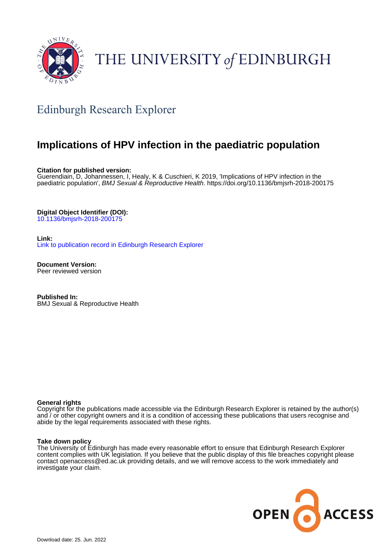

# THE UNIVERSITY of EDINBURGH

# Edinburgh Research Explorer

# **Implications of HPV infection in the paediatric population**

**Citation for published version:**

Guerendiain, D, Johannessen, I, Healy, K & Cuschieri, K 2019, 'Implications of HPV infection in the paediatric population', BMJ Sexual & Reproductive Health.<https://doi.org/10.1136/bmjsrh-2018-200175>

**Digital Object Identifier (DOI):**

[10.1136/bmjsrh-2018-200175](https://doi.org/10.1136/bmjsrh-2018-200175)

**Link:** [Link to publication record in Edinburgh Research Explorer](https://www.research.ed.ac.uk/en/publications/8d2907db-a941-4f2c-a007-6ec5ac3802bd)

**Document Version:** Peer reviewed version

**Published In:** BMJ Sexual & Reproductive Health

#### **General rights**

Copyright for the publications made accessible via the Edinburgh Research Explorer is retained by the author(s) and / or other copyright owners and it is a condition of accessing these publications that users recognise and abide by the legal requirements associated with these rights.

#### **Take down policy**

The University of Edinburgh has made every reasonable effort to ensure that Edinburgh Research Explorer content complies with UK legislation. If you believe that the public display of this file breaches copyright please contact openaccess@ed.ac.uk providing details, and we will remove access to the work immediately and investigate your claim.

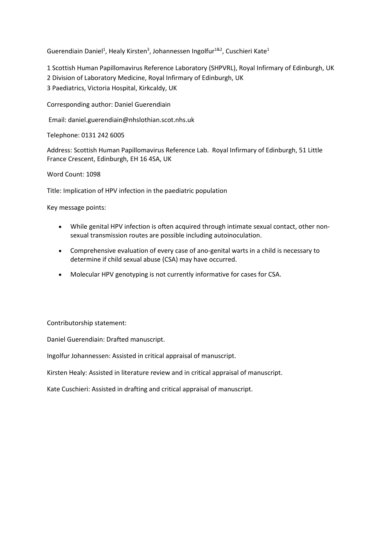Guerendiain Daniel<sup>1</sup>, Healy Kirsten<sup>3</sup>, Johannessen Ingolfur<sup>1&2</sup>, Cuschieri Kate<sup>1</sup>

1 Scottish Human Papillomavirus Reference Laboratory (SHPVRL), Royal Infirmary of Edinburgh, UK

2 Division of Laboratory Medicine, Royal Infirmary of Edinburgh, UK

3 Paediatrics, Victoria Hospital, Kirkcaldy, UK

Corresponding author: Daniel Guerendiain

Email: daniel.guerendiain@nhslothian.scot.nhs.uk

Telephone: 0131 242 6005

Address: Scottish Human Papillomavirus Reference Lab. Royal Infirmary of Edinburgh, 51 Little France Crescent, Edinburgh, EH 16 4SA, UK

Word Count: 1098

Title: Implication of HPV infection in the paediatric population

Key message points:

- While genital HPV infection is often acquired through intimate sexual contact, other nonsexual transmission routes are possible including autoinoculation.
- Comprehensive evaluation of every case of ano-genital warts in a child is necessary to determine if child sexual abuse (CSA) may have occurred.
- Molecular HPV genotyping is not currently informative for cases for CSA.

Contributorship statement:

Daniel Guerendiain: Drafted manuscript.

Ingolfur Johannessen: Assisted in critical appraisal of manuscript.

Kirsten Healy: Assisted in literature review and in critical appraisal of manuscript.

Kate Cuschieri: Assisted in drafting and critical appraisal of manuscript.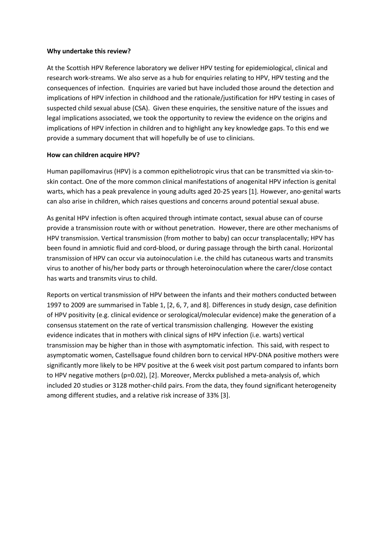### **Why undertake this review?**

At the Scottish HPV Reference laboratory we deliver HPV testing for epidemiological, clinical and research work-streams. We also serve as a hub for enquiries relating to HPV, HPV testing and the consequences of infection. Enquiries are varied but have included those around the detection and implications of HPV infection in childhood and the rationale/justification for HPV testing in cases of suspected child sexual abuse (CSA). Given these enquiries, the sensitive nature of the issues and legal implications associated, we took the opportunity to review the evidence on the origins and implications of HPV infection in children and to highlight any key knowledge gaps. To this end we provide a summary document that will hopefully be of use to clinicians.

# **How can children acquire HPV?**

Human papillomavirus (HPV) is a common epitheliotropic virus that can be transmitted via skin-toskin contact. One of the more common clinical manifestations of anogenital HPV infection is genital warts, which has a peak prevalence in young adults aged 20-25 years [1]. However, ano-genital warts can also arise in children, which raises questions and concerns around potential sexual abuse.

As genital HPV infection is often acquired through intimate contact, sexual abuse can of course provide a transmission route with or without penetration. However, there are other mechanisms of HPV transmission. Vertical transmission (from mother to baby) can occur transplacentally; HPV has been found in amniotic fluid and cord-blood, or during passage through the birth canal. Horizontal transmission of HPV can occur via autoinoculation i.e. the child has cutaneous warts and transmits virus to another of his/her body parts or through heteroinoculation where the carer/close contact has warts and transmits virus to child.

Reports on vertical transmission of HPV between the infants and their mothers conducted between 1997 to 2009 are summarised in Table 1, [2, 6, 7, and 8]. Differences in study design, case definition of HPV positivity (e.g. clinical evidence or serological/molecular evidence) make the generation of a consensus statement on the rate of vertical transmission challenging. However the existing evidence indicates that in mothers with clinical signs of HPV infection (i.e. warts) vertical transmission may be higher than in those with asymptomatic infection. This said, with respect to asymptomatic women, Castellsague found children born to cervical HPV-DNA positive mothers were significantly more likely to be HPV positive at the 6 week visit post partum compared to infants born to HPV negative mothers (p=0.02), [2]. Moreover, Merckx published a meta-analysis of, which included 20 studies or 3128 mother-child pairs. From the data, they found significant heterogeneity among different studies, and a relative risk increase of 33% [3].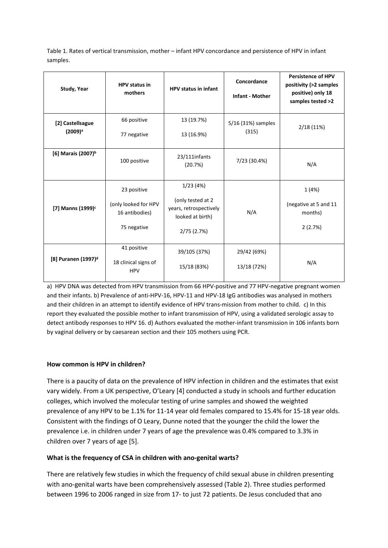Table 1. Rates of vertical transmission, mother – infant HPV concordance and persistence of HPV in infant samples.

| Study, Year                             | <b>HPV</b> status in<br>mothers                                      | HPV status in infant                                                                      | Concordance<br><b>Infant - Mother</b> | <b>Persistence of HPV</b><br>positivity (>2 samples<br>positive) only 18<br>samples tested >2 |
|-----------------------------------------|----------------------------------------------------------------------|-------------------------------------------------------------------------------------------|---------------------------------------|-----------------------------------------------------------------------------------------------|
| [2] Castellsague<br>(2009) <sup>a</sup> | 66 positive<br>77 negative                                           | 13 (19.7%)<br>13 (16.9%)                                                                  | 5/16 (31%) samples<br>(315)           | 2/18(11%)                                                                                     |
| [6] Marais (2007) <sup>b</sup>          | 100 positive                                                         | 23/111infants<br>(20.7%)                                                                  | 7/23 (30.4%)                          | N/A                                                                                           |
| [7] Manns (1999) <sup>c</sup>           | 23 positive<br>(only looked for HPV<br>16 antibodies)<br>75 negative | 1/23(4%)<br>(only tested at 2<br>years, retrospectively<br>looked at birth)<br>2/75(2.7%) | N/A                                   | 1(4%)<br>(negative at 5 and 11<br>months)<br>2(2.7%)                                          |
| [8] Puranen (1997) <sup>d</sup>         | 41 positive<br>18 clinical signs of<br><b>HPV</b>                    | 39/105 (37%)<br>15/18 (83%)                                                               | 29/42 (69%)<br>13/18 (72%)            | N/A                                                                                           |

a) HPV DNA was detected from HPV transmission from 66 HPV-positive and 77 HPV-negative pregnant women and their infants. b) Prevalence of anti-HPV-16, HPV-11 and HPV-18 IgG antibodies was analysed in mothers and their children in an attempt to identify evidence of HPV trans-mission from mother to child. c) In this report they evaluated the possible mother to infant transmission of HPV, using a validated serologic assay to detect antibody responses to HPV 16. d) Authors evaluated the mother-infant transmission in 106 infants born by vaginal delivery or b[y caesarean section](https://www.sciencedirect.com/topics/medicine-and-dentistry/cesarean-section) and their 105 mothers using PCR.

# **How common is HPV in children?**

There is a paucity of data on the prevalence of HPV infection in children and the estimates that exist vary widely. From a UK perspective, O'Leary [4] conducted a study in schools and further education colleges, which involved the molecular testing of urine samples and showed the weighted prevalence of any HPV to be 1.1% for 11-14 year old females compared to 15.4% for 15-18 year olds. Consistent with the findings of O Leary, Dunne noted that the younger the child the lower the prevalence i.e. in children under 7 years of age the prevalence was 0.4% compared to 3.3% in children over 7 years of age [5].

# **What is the frequency of CSA in children with ano-genital warts?**

There are relatively few studies in which the frequency of child sexual abuse in children presenting with ano-genital warts have been comprehensively assessed (Table 2). Three studies performed between 1996 to 2006 ranged in size from 17- to just 72 patients. De Jesus concluded that ano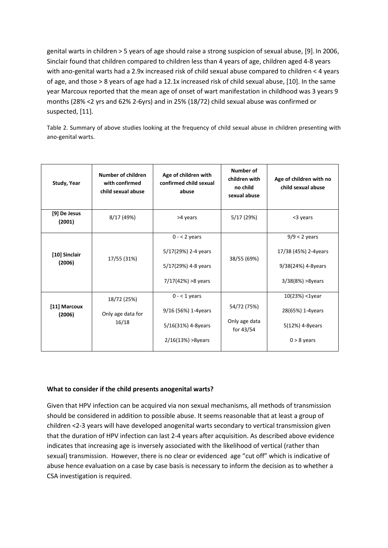genital warts in children > 5 years of age should raise a strong suspicion of sexual abuse, [9]. In 2006, Sinclair found that children compared to children less than 4 years of age, children aged 4-8 years with ano-genital warts had a 2.9x increased risk of child sexual abuse compared to children < 4 years of age, and those > 8 years of age had a 12.1x increased risk of child sexual abuse, [10]. In the same year Marcoux reported that the mean age of onset of wart manifestation in childhood was 3 years 9 months (28% <2 yrs and 62% 2-6yrs) and in 25% (18/72) child sexual abuse was confirmed or suspected, [11].

Table 2. Summary of above studies looking at the frequency of child sexual abuse in children presenting with ano-genital warts.

| Study, Year             | <b>Number of children</b><br>with confirmed<br>child sexual abuse | Age of children with<br>confirmed child sexual<br>abuse                              | <b>Number of</b><br>children with<br>no child<br>sexual abuse | Age of children with no<br>child sexual abuse                                     |
|-------------------------|-------------------------------------------------------------------|--------------------------------------------------------------------------------------|---------------------------------------------------------------|-----------------------------------------------------------------------------------|
| [9] De Jesus<br>(2001)  | 8/17 (49%)                                                        | >4 years                                                                             | 5/17 (29%)                                                    | <3 years                                                                          |
| [10] Sinclair<br>(2006) | 17/55 (31%)                                                       | $0 - 2$ years<br>5/17(29%) 2-4 years<br>5/17(29%) 4-8 years<br>$7/17(42%) > 8$ years | 38/55 (69%)                                                   | $9/9 < 2$ years<br>17/38 (45%) 2-4years<br>9/38(24%) 4-8years<br>3/38(8%) >8years |
| [11] Marcoux<br>(2006)  | 18/72 (25%)<br>Only age data for<br>16/18                         | $0 - 1$ years<br>9/16 (56%) 1-4years<br>5/16(31%) 4-8years<br>$2/16(13%) > 8$ years  | 54/72 (75%)<br>Only age data<br>for 43/54                     | $10(23%) < 1$ year<br>28(65%) 1-4years<br>5(12%) 4-8years<br>$0 > 8$ years        |

# **What to consider if the child presents anogenital warts?**

Given that HPV infection can be acquired via non sexual mechanisms, all methods of transmission should be considered in addition to possible abuse. It seems reasonable that at least a group of children <2-3 years will have developed anogenital warts secondary to vertical transmission given that the duration of HPV infection can last 2-4 years after acquisition. As described above evidence indicates that increasing age is inversely associated with the likelihood of vertical (rather than sexual) transmission. However, there is no clear or evidenced age "cut off" which is indicative of abuse hence evaluation on a case by case basis is necessary to inform the decision as to whether a CSA investigation is required.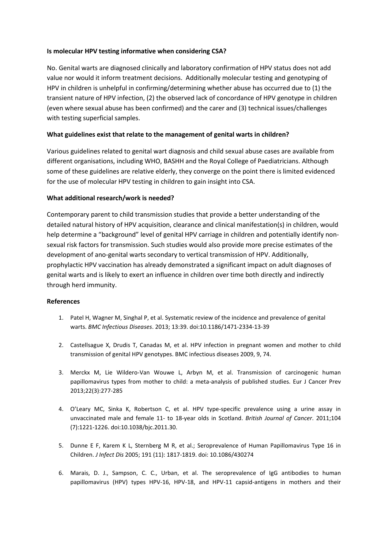# **Is molecular HPV testing informative when considering CSA?**

No. Genital warts are diagnosed clinically and laboratory confirmation of HPV status does not add value nor would it inform treatment decisions. Additionally molecular testing and genotyping of HPV in children is unhelpful in confirming/determining whether abuse has occurred due to (1) the transient nature of HPV infection, (2) the observed lack of concordance of HPV genotype in children (even where sexual abuse has been confirmed) and the carer and (3) technical issues/challenges with testing superficial samples.

# **What guidelines exist that relate to the management of genital warts in children?**

Various guidelines related to genital wart diagnosis and child sexual abuse cases are available from different organisations, including WHO, BASHH and the Royal College of Paediatricians. Although some of these guidelines are relative elderly, they converge on the point there is limited evidenced for the use of molecular HPV testing in children to gain insight into CSA.

# **What additional research/work is needed?**

Contemporary parent to child transmission studies that provide a better understanding of the detailed natural history of HPV acquisition, clearance and clinical manifestation(s) in children, would help determine a "background" level of genital HPV carriage in children and potentially identify nonsexual risk factors for transmission. Such studies would also provide more precise estimates of the development of ano-genital warts secondary to vertical transmission of HPV. Additionally, prophylactic HPV vaccination has already demonstrated a significant impact on adult diagnoses of genital warts and is likely to exert an influence in children over time both directly and indirectly through herd immunity.

# **References**

- 1. Patel H, Wagner M, Singhal P, et al. Systematic review of the incidence and prevalence of genital warts. *BMC Infectious Diseases*. 2013; 13:39. doi:10.1186/1471-2334-13-39
- 2. Castellsague X, Drudis T, Canadas M, et al. HPV infection in pregnant women and mother to child transmission of genital HPV genotypes. BMC infectious diseases 2009, 9, 74.
- 3. Merckx M, Lie Wildero-Van Wouwe L, Arbyn M, et al. Transmission of carcinogenic human papillomavirus types from mother to child: a meta-analysis of published studies. Eur J Cancer Prev 2013;22(3):277-285
- 4. O'Leary MC, Sinka K, Robertson C, et al. HPV type-specific prevalence using a urine assay in unvaccinated male and female 11- to 18-year olds in Scotland. *British Journal of Cancer*. 2011;104 (7):1221-1226. doi:10.1038/bjc.2011.30.
- 5. Dunne E F, Karem K L, Sternberg M R, et al.; Seroprevalence of Human Papillomavirus Type 16 in Children. *J Infect Dis* 2005; 191 (11): 1817-1819. doi: 10.1086/430274
- 6. Marais, D. J., Sampson, C. C., Urban, et al. The seroprevalence of IgG antibodies to human papillomavirus (HPV) types HPV-16, HPV-18, and HPV-11 capsid-antigens in mothers and their